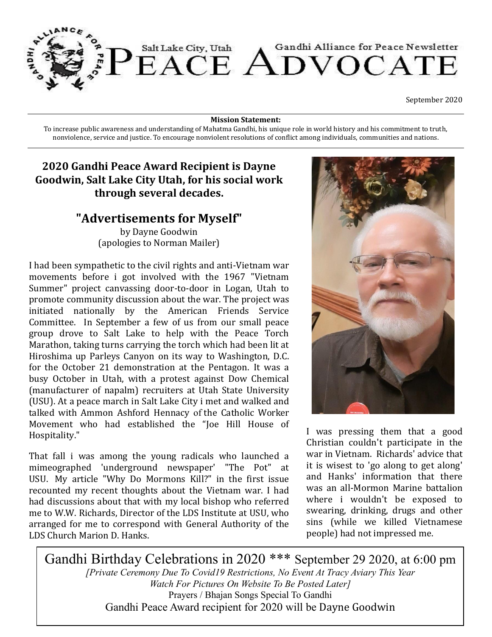

September 2020

**Mission Statement:** 

To increase public awareness and understanding of Mahatma Gandhi, his unique role in world history and his commitment to truth, nonviolence, service and justice. To encourage nonviolent resolutions of conflict among individuals, communities and nations.

# **2020 Gandhi Peace Award Recipient is Dayne Goodwin, Salt Lake City Utah, for his social work through several decades.**

## **"Advertisements for Myself"**

by Dayne Goodwin (apologies to Norman Mailer)

I had been sympathetic to the civil rights and anti-Vietnam war movements before i got involved with the 1967 "Vietnam Summer" project canvassing door-to-door in Logan, Utah to promote community discussion about the war. The project was initiated nationally by the American Friends Service Committee. In September a few of us from our small peace group drove to Salt Lake to help with the Peace Torch Marathon, taking turns carrying the torch which had been lit at Hiroshima up Parleys Canyon on its way to Washington, D.C. for the October 21 demonstration at the Pentagon. It was a busy October in Utah, with a protest against Dow Chemical (manufacturer of napalm) recruiters at Utah State University (USU). At a peace march in Salt Lake City i met and walked and talked with Ammon Ashford Hennacy of the Catholic Worker Movement who had established the "Joe Hill House of Hospitality."

That fall i was among the young radicals who launched a mimeographed 'underground newspaper' "The Pot" at USU. My article "Why Do Mormons Kill?" in the first issue recounted my recent thoughts about the Vietnam war. I had had discussions about that with my local bishop who referred me to W.W. Richards, Director of the LDS Institute at USU, who arranged for me to correspond with General Authority of the LDS Church Marion D. Hanks.



I was pressing them that a good Christian couldn't participate in the war in Vietnam. Richards' advice that it is wisest to 'go along to get along' and Hanks' information that there was an all-Mormon Marine battalion where i wouldn't be exposed to swearing, drinking, drugs and other sins (while we killed Vietnamese people) had not impressed me.

Gandhi Birthday Celebrations in 2020 \*\*\* September 29 2020, at 6:00 pm *[Private Ceremony Due To Covid19 Restrictions, No Event At Tracy Aviary This Year Watch For Pictures On Website To Be Posted Later]* Prayers / Bhajan Songs Special To Gandhi Gandhi Peace Award recipient for 2020 will be Dayne Goodwin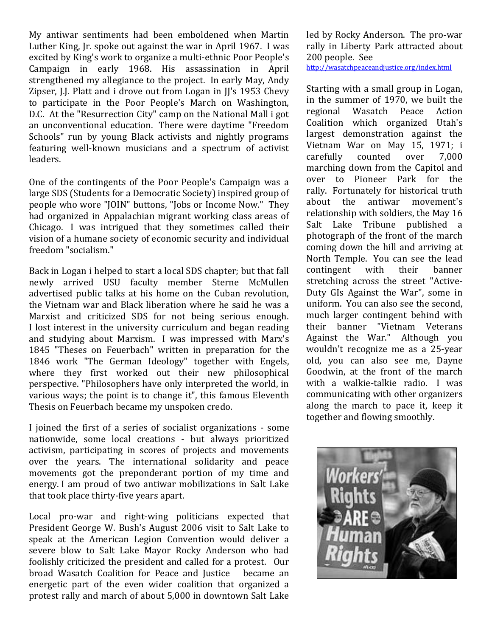My antiwar sentiments had been emboldened when Martin Luther King, Jr. spoke out against the war in April 1967. I was excited by King's work to organize a multi-ethnic Poor People's Campaign in early 1968. His assassination in April strengthened my allegiance to the project. In early May, Andy Zipser, J.J. Platt and i drove out from Logan in JJ's 1953 Chevy to participate in the Poor People's March on Washington, D.C. At the "Resurrection City" camp on the National Mall i got an unconventional education. There were daytime "Freedom Schools" run by young Black activists and nightly programs featuring well-known musicians and a spectrum of activist leaders.

One of the contingents of the Poor People's Campaign was a large SDS (Students for a Democratic Society) inspired group of people who wore "JOIN" buttons, "Jobs or Income Now." They had organized in Appalachian migrant working class areas of Chicago. I was intrigued that they sometimes called their vision of a humane society of economic security and individual freedom "socialism."

Back in Logan i helped to start a local SDS chapter; but that fall newly arrived USU faculty member Sterne McMullen advertised public talks at his home on the Cuban revolution, the Vietnam war and Black liberation where he said he was a Marxist and criticized SDS for not being serious enough. I lost interest in the university curriculum and began reading and studying about Marxism. I was impressed with Marx's 1845 "Theses on Feuerbach" written in preparation for the 1846 work "The German Ideology" together with Engels, where they first worked out their new philosophical perspective. "Philosophers have only interpreted the world, in various ways; the point is to change it", this famous Eleventh Thesis on Feuerbach became my unspoken credo.

I joined the first of a series of socialist organizations - some nationwide, some local creations - but always prioritized activism, participating in scores of projects and movements over the years. The international solidarity and peace movements got the preponderant portion of my time and energy. I am proud of two antiwar mobilizations in Salt Lake that took place thirty-five years apart.

Local pro-war and right-wing politicians expected that President George W. Bush's August 2006 visit to Salt Lake to speak at the American Legion Convention would deliver a severe blow to Salt Lake Mayor Rocky Anderson who had foolishly criticized the president and called for a protest. Our broad Wasatch Coalition for Peace and Justice became an energetic part of the even wider coalition that organized a protest rally and march of about 5,000 in downtown Salt Lake led by Rocky Anderson. The pro-war rally in Liberty Park attracted about 200 people. See

http://wasatchpeaceandjustice.org/index.html

Starting with a small group in Logan, in the summer of 1970, we built the regional Wasatch Peace Action Coalition which organized Utah's largest demonstration against the Vietnam War on May 15, 1971; i carefully counted over 7,000 marching down from the Capitol and over to Pioneer Park for the rally. Fortunately for historical truth about the antiwar movement's relationship with soldiers, the May 16 Salt Lake Tribune published a photograph of the front of the march coming down the hill and arriving at North Temple. You can see the lead contingent with their banner stretching across the street "Active-Duty GIs Against the War", some in uniform. You can also see the second, much larger contingent behind with their banner "Vietnam Veterans Against the War." Although you wouldn't recognize me as a 25-year old, you can also see me, Dayne Goodwin, at the front of the march with a walkie-talkie radio. I was communicating with other organizers along the march to pace it, keep it together and flowing smoothly.

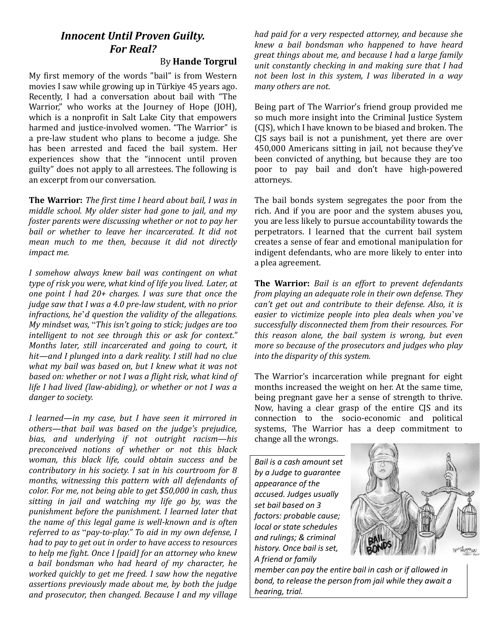# *Innocent Until Proven Guilty. For Real?*

By **Hande Torgrul**

My first memory of the words "bail" is from Western movies I saw while growing up in Türkiye 45 years ago. Recently, I had a conversation about bail with "The Warrior," who works at the Journey of Hope (JOH), which is a nonprofit in Salt Lake City that empowers harmed and justice-involved women. "The Warrior" is a pre-law student who plans to become a judge. She has been arrested and faced the bail system. Her experiences show that the "innocent until proven guilty" does not apply to all arrestees. The following is an excerpt from our conversation.

**The Warrior:** *The first time I heard about bail, I was in middle school. My older sister had gone to jail, and my foster parents were discussing whether or not to pay her bail or whether to leave her incarcerated. It did not mean much to me then, because it did not directly impact me.* 

*I somehow always knew bail was contingent on what type of risk you were, what kind of life you lived. Later, at one point I had 20+ charges. I was sure that once the judge saw that I was a 4.0 pre-law student, with no prior infractions, he*'*d question the validity of the allegations. My mindset was,* "*This isn't going to stick; judges are too intelligent to not see through this or ask for context." Months later, still incarcerated and going to court, it hit—and I plunged into a dark reality. I still had no clue what my bail was based on, but I knew what it was not based on: whether or not I was a flight risk, what kind of life I had lived (law-abiding), or whether or not I was a danger to society.* 

*I learned—in my case, but I have seen it mirrored in others—that bail was based on the judge's prejudice, bias, and underlying if not outright racism—his preconceived notions of whether or not this black woman, this black life, could obtain success and be contributory in his society. I sat in his courtroom for 8 months, witnessing this pattern with all defendants of color. For me, not being able to get \$50,000 in cash, thus sitting in jail and watching my life go by, was the punishment before the punishment. I learned later that the name of this legal game is well-known and is often referred to as* "*pay-to-play." To aid in my own defense, I had to pay to get out in order to have access to resources to help me fight. Once I [paid] for an attorney who knew a bail bondsman who had heard of my character, he worked quickly to get me freed. I saw how the negative assertions previously made about me, by both the judge and prosecutor, then changed. Because I and my village* 

*had paid for a very respected attorney, and because she knew a bail bondsman who happened to have heard great things about me, and because I had a large family unit constantly checking in and making sure that I had not been lost in this system, I was liberated in a way many others are not.*

Being part of The Warrior's friend group provided me so much more insight into the Criminal Justice System (CJS), which I have known to be biased and broken. The CJS says bail is not a punishment, yet there are over 450,000 Americans sitting in jail, not because they've been convicted of anything, but because they are too poor to pay bail and don't have high-powered attorneys.

The bail bonds system segregates the poor from the rich. And if you are poor and the system abuses you, you are less likely to pursue accountability towards the perpetrators. I learned that the current bail system creates a sense of fear and emotional manipulation for indigent defendants, who are more likely to enter into a plea agreement.

**The Warrior:** *Bail is an effort to prevent defendants from playing an adequate role in their own defense. They can't get out and contribute to their defense. Also, it is easier to victimize people into plea deals when you*'*ve successfully disconnected them from their resources. For this reason alone, the bail system is wrong, but even more so because of the prosecutors and judges who play into the disparity of this system.*

The Warrior's incarceration while pregnant for eight months increased the weight on her. At the same time, being pregnant gave her a sense of strength to thrive. Now, having a clear grasp of the entire CJS and its connection to the socio-economic and political systems, The Warrior has a deep commitment to change all the wrongs.

*Bail is a cash amount set by a Judge to guarantee appearance of the accused. Judges usually set bail based on 3 factors: probable cause; local or state schedules and rulings; & criminal history. Once bail is set, A friend or family* 



*member can pay the entire bail in cash or if allowed in bond, to release the person from jail while they await a hearing, trial.*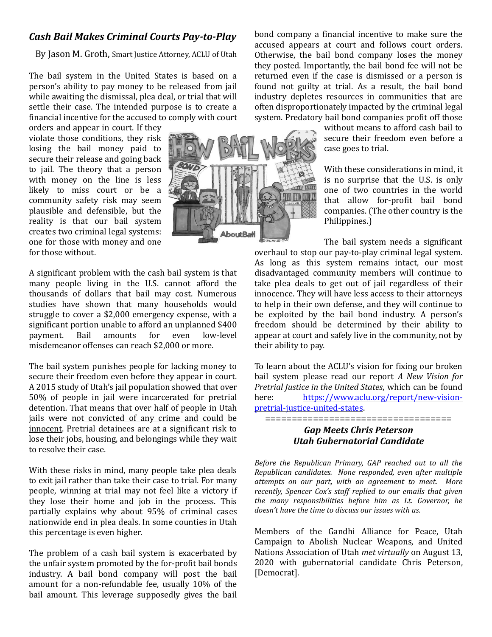## *Cash Bail Makes Criminal Courts Pay-to-Play*

By Jason M. Groth, Smart Justice Attorney, ACLU of Utah

The bail system in the United States is based on a person's ability to pay money to be released from jail while awaiting the dismissal, plea deal, or trial that will settle their case. The intended purpose is to create a financial incentive for the accused to comply with court

orders and appear in court. If they violate those conditions, they risk losing the bail money paid to secure their release and going back to jail. The theory that a person with money on the line is less likely to miss court or be a community safety risk may seem plausible and defensible, but the reality is that our bail system creates two criminal legal systems: one for those with money and one for those without.

A significant problem with the cash bail system is that many people living in the U.S. cannot afford the thousands of dollars that bail may cost. Numerous studies have shown that many households would struggle to cover a \$2,000 emergency expense, with a significant portion unable to afford an unplanned \$400 payment. Bail amounts for even low-level misdemeanor offenses can reach \$2,000 or more.

The bail system punishes people for lacking money to secure their freedom even before they appear in court. A 2015 study of Utah's jail population showed that over 50% of people in jail were incarcerated for pretrial detention. That means that over half of people in Utah jails were not convicted of any crime and could be innocent. Pretrial detainees are at a significant risk to lose their jobs, housing, and belongings while they wait to resolve their case.

With these risks in mind, many people take plea deals to exit jail rather than take their case to trial. For many people, winning at trial may not feel like a victory if they lose their home and job in the process. This partially explains why about 95% of criminal cases nationwide end in plea deals. In some counties in Utah this percentage is even higher.

The problem of a cash bail system is exacerbated by the unfair system promoted by the for-profit bail bonds industry. A bail bond company will post the bail amount for a non-refundable fee, usually 10% of the bail amount. This leverage supposedly gives the bail

bond company a financial incentive to make sure the accused appears at court and follows court orders. Otherwise, the bail bond company loses the money they posted. Importantly, the bail bond fee will not be returned even if the case is dismissed or a person is found not guilty at trial. As a result, the bail bond industry depletes resources in communities that are often disproportionately impacted by the criminal legal system. Predatory bail bond companies profit off those

> without means to afford cash bail to secure their freedom even before a case goes to trial.

> With these considerations in mind, it is no surprise that the U.S. is only one of two countries in the world that allow for-profit bail bond companies. (The other country is the Philippines.)

The bail system needs a significant

overhaul to stop our pay-to-play criminal legal system. As long as this system remains intact, our most disadvantaged community members will continue to take plea deals to get out of jail regardless of their innocence. They will have less access to their attorneys to help in their own defense, and they will continue to be exploited by the bail bond industry. A person's freedom should be determined by their ability to appear at court and safely live in the community, not by their ability to pay.

To learn about the ACLU's vision for fixing our broken bail system please read our report *A New Vision for Pretrial Justice in the United States*, which can be found here: [https://www.aclu.org/report/new](https://www.aclu.org/report/new-vision-pretrial-justice-united-states)-vision[pretrial](https://www.aclu.org/report/new-vision-pretrial-justice-united-states)-justice-united-states.

## *Gap Meets Chris Peterson Utah Gubernatorial Candidate*

===================================

*Before the Republican Primary, GAP reached out to all the Republican candidates. None responded, even after multiple attempts on our part, with an agreement to meet. More recently, Spencer Cox's staff replied to our emails that given the many responsibilities before him as Lt. Governor, he doesn't have the time to discuss our issues with us.*

Members of the Gandhi Alliance for Peace, Utah Campaign to Abolish Nuclear Weapons, and United Nations Association of Utah *met virtually* on August 13, 2020 with gubernatorial candidate Chris Peterson, [Democrat].

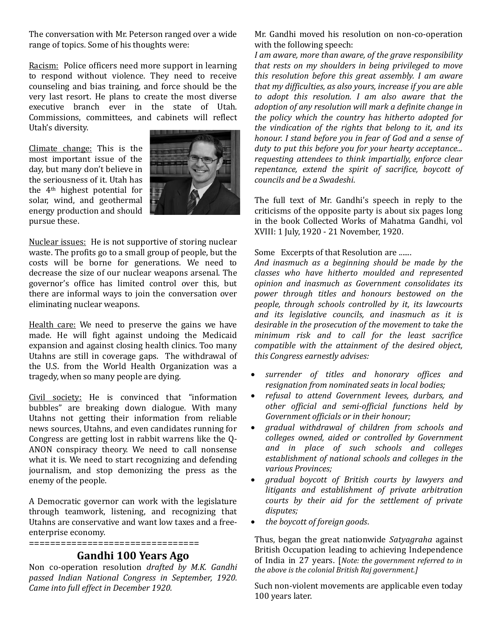The conversation with Mr. Peterson ranged over a wide range of topics. Some of his thoughts were:

Racism: Police officers need more support in learning to respond without violence. They need to receive counseling and bias training, and force should be the very last resort. He plans to create the most diverse executive branch ever in the state of Utah. Commissions, committees, and cabinets will reflect Utah's diversity.

Climate change: This is the most important issue of the day, but many don't believe in the seriousness of it. Utah has the 4th highest potential for solar, wind, and geothermal energy production and should pursue these.



Nuclear issues: He is not supportive of storing nuclear waste. The profits go to a small group of people, but the costs will be borne for generations. We need to decrease the size of our nuclear weapons arsenal. The governor's office has limited control over this, but there are informal ways to join the conversation over eliminating nuclear weapons.

Health care: We need to preserve the gains we have made. He will fight against undoing the Medicaid expansion and against closing health clinics. Too many Utahns are still in coverage gaps. The withdrawal of the U.S. from the World Health Organization was a tragedy, when so many people are dying.

Civil society: He is convinced that "information bubbles" are breaking down dialogue. With many Utahns not getting their information from reliable news sources, Utahns, and even candidates running for Congress are getting lost in rabbit warrens like the Q-ANON conspiracy theory. We need to call nonsense what it is. We need to start recognizing and defending journalism, and stop demonizing the press as the enemy of the people.

A Democratic governor can work with the legislature through teamwork, listening, and recognizing that Utahns are conservative and want low taxes and a freeenterprise economy.

================================

## **Gandhi 100 Years Ago**

Non co-operation resolution *drafted by M.K. Gandhi passed Indian National Congress in September, 1920. Came into full effect in December 1920.*

Mr. Gandhi moved his resolution on non-co-operation with the following speech:

*I am aware, more than aware, of the grave responsibility that rests on my shoulders in being privileged to move this resolution before this great assembly. I am aware that my difficulties, as also yours, increase if you are able to adopt this resolution. I am also aware that the adoption of any resolution will mark a definite change in the policy which the country has hitherto adopted for the vindication of the rights that belong to it, and its honour. I stand before you in fear of God and a sense of duty to put this before you for your hearty acceptance... requesting attendees to think impartially, enforce clear repentance, extend the spirit of sacrifice, boycott of councils and be a Swadeshi*.

The full text of Mr. Gandhi's speech in reply to the criticisms of the opposite party is about six pages long in the book Collected Works of Mahatma Gandhi, vol XVIII: 1 July, 1920 - 21 November, 1920.

#### Some Excerpts of that Resolution are .......

*And inasmuch as a beginning should be made by the classes who have hitherto moulded and represented opinion and inasmuch as Government consolidates its power through titles and honours bestowed on the people, through schools controlled by it, its lawcourts and its legislative councils, and inasmuch as it is desirable in the prosecution of the movement to take the minimum risk and to call for the least sacrifice compatible with the attainment of the desired object, this Congress earnestly advises:*

- *surrender of titles and honorary offices and resignation from nominated seats in local bodies;*
- *refusal to attend Government levees, durbars, and other official and semi-official functions held by Government officials or in their honour;*
- *gradual withdrawal of children from schools and colleges owned, aided or controlled by Government and in place of such schools and colleges establishment of national schools and colleges in the various Provinces;*
- *gradual boycott of British courts by lawyers and litigants and establishment of private arbitration courts by their aid for the settlement of private disputes;*
- *the boycott of foreign goods*.

Thus, began the great nationwide *Satyagraha* against British Occupation leading to achieving Independence of India in 27 years. [*Note: the government referred to in the above is the colonial British Raj government.]*

Such non-violent movements are applicable even today 100 years later.